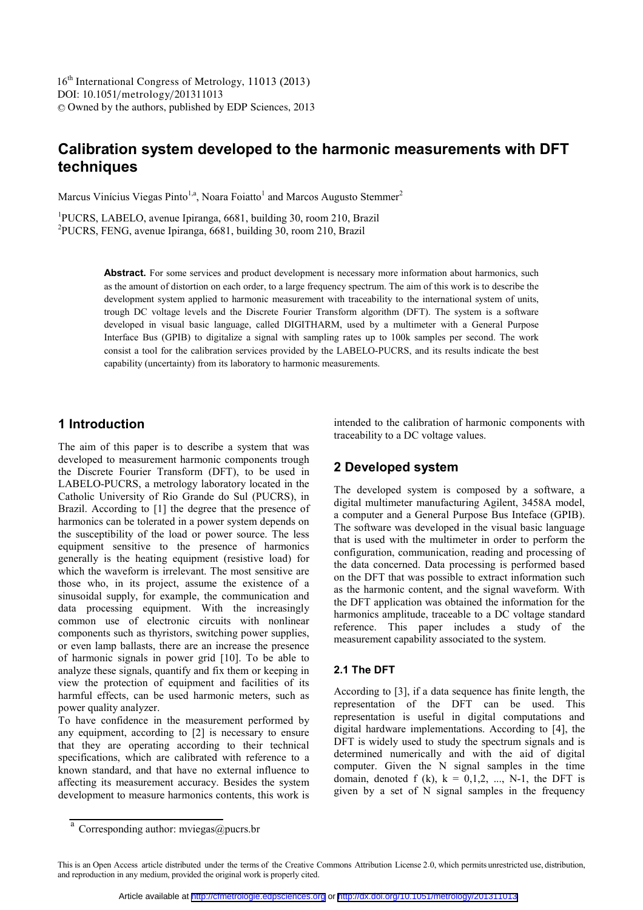DOI: 10.1051/metrology/201311013 <sup>C</sup> Owned by the authors, published by EDP Sciences, 2013 16<sup>th</sup> International Congress of Metrology, 11013 (2013)

# **Calibration system developed to the harmonic measurements with DFT techniques**

Marcus Vinícius Viegas Pinto<sup>1,a</sup>, Noara Foiatto<sup>1</sup> and Marcos Augusto Stemmer<sup>2</sup>

1 PUCRS, LABELO, avenue Ipiranga, 6681, building 30, room 210, Brazil 2 PUCRS, FENG, avenue Ipiranga, 6681, building 30, room 210, Brazil

> Abstract. For some services and product development is necessary more information about harmonics, such as the amount of distortion on each order, to a large frequency spectrum. The aim of this work is to describe the development system applied to harmonic measurement with traceability to the international system of units, trough DC voltage levels and the Discrete Fourier Transform algorithm (DFT). The system is a software developed in visual basic language, called DIGITHARM, used by a multimeter with a General Purpose Interface Bus (GPIB) to digitalize a signal with sampling rates up to 100k samples per second. The work consist a tool for the calibration services provided by the LABELO-PUCRS, and its results indicate the best capability (uncertainty) from its laboratory to harmonic measurements.

### **1 Introduction**

The aim of this paper is to describe a system that was developed to measurement harmonic components trough the Discrete Fourier Transform (DFT), to be used in LABELO-PUCRS, a metrology laboratory located in the Catholic University of Rio Grande do Sul (PUCRS), in Brazil. According to [1] the degree that the presence of harmonics can be tolerated in a power system depends on the susceptibility of the load or power source. The less equipment sensitive to the presence of harmonics generally is the heating equipment (resistive load) for which the waveform is irrelevant. The most sensitive are those who, in its project, assume the existence of a sinusoidal supply, for example, the communication and data processing equipment. With the increasingly common use of electronic circuits with nonlinear components such as thyristors, switching power supplies, or even lamp ballasts, there are an increase the presence of harmonic signals in power grid [10]. To be able to analyze these signals, quantify and fix them or keeping in view the protection of equipment and facilities of its harmful effects, can be used harmonic meters, such as power quality analyzer.

To have confidence in the measurement performed by any equipment, according to [2] is necessary to ensure that they are operating according to their technical specifications, which are calibrated with reference to a known standard, and that have no external influence to affecting its measurement accuracy. Besides the system development to measure harmonics contents, this work is

intended to the calibration of harmonic components with traceability to a DC voltage values.

### **2 Developed system**

The developed system is composed by a software, a digital multimeter manufacturing Agilent, 3458A model, a computer and a General Purpose Bus Inteface (GPIB). The software was developed in the visual basic language that is used with the multimeter in order to perform the configuration, communication, reading and processing of the data concerned. Data processing is performed based on the DFT that was possible to extract information such as the harmonic content, and the signal waveform. With the DFT application was obtained the information for the harmonics amplitude, traceable to a DC voltage standard reference. This paper includes a study of the measurement capability associated to the system.

#### **2.1 The DFT**

According to [3], if a data sequence has finite length, the representation of the DFT can be used. This representation is useful in digital computations and digital hardware implementations. According to [4], the DFT is widely used to study the spectrum signals and is determined numerically and with the aid of digital computer. Given the N signal samples in the time domain, denoted f (k),  $k = 0,1,2, ..., N-1$ , the DFT is given by a set of N signal samples in the frequency

 $\overline{a}$  Corresponding author: myiegas@pucrs.br

This is an Open Access article distributed under the terms of the Creative Commons Attribution License 2.0, which permits unrestricted use, distribution, and reproduction in any medium, provided the original work is properly cited.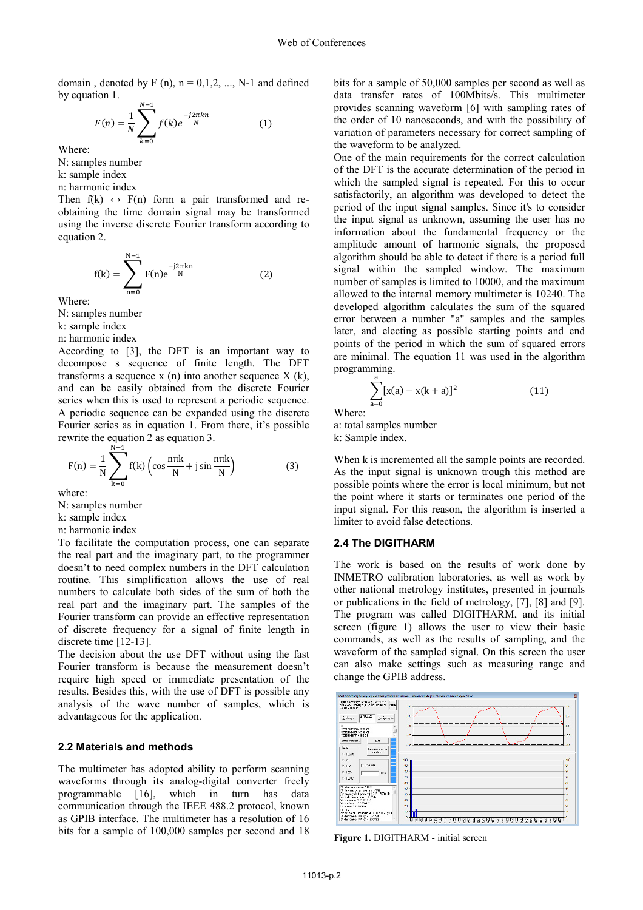domain, denoted by F (n),  $n = 0,1,2, ..., N-1$  and defined by equation 1.

$$
F(n) = \frac{1}{N} \sum_{k=0}^{N-1} f(k) e^{\frac{-j2\pi kn}{N}}
$$
 (1)

Where:

N: samples number

k: sample index

n: harmonic index

Then  $f(k) \leftrightarrow F(n)$  form a pair transformed and reobtaining the time domain signal may be transformed using the inverse discrete Fourier transform according to equation 2.

$$
f(k) = \sum_{n=0}^{N-1} F(n)e^{\frac{-j2\pi kn}{N}}
$$
 (2)

Where:

N: samples number

- k: sample index
- n: harmonic index

According to [3], the DFT is an important way to decompose s sequence of finite length. The DFT transforms a sequence  $x(n)$  into another sequence  $X(k)$ , and can be easily obtained from the discrete Fourier series when this is used to represent a periodic sequence. A periodic sequence can be expanded using the discrete Fourier series as in equation 1. From there, it's possible rewrite the equation 2 as equation 3.

$$
F(n) = \frac{1}{N} \sum_{k=0}^{N-1} f(k) \left( \cos \frac{n\pi k}{N} + j \sin \frac{n\pi k}{N} \right)
$$
(3)

where:

N: samples number

k: sample index

n: harmonic index

To facilitate the computation process, one can separate the real part and the imaginary part, to the programmer doesn't to need complex numbers in the DFT calculation routine. This simplification allows the use of real numbers to calculate both sides of the sum of both the real part and the imaginary part. The samples of the Fourier transform can provide an effective representation of discrete frequency for a signal of finite length in discrete time [12-13].

The decision about the use DFT without using the fast Fourier transform is because the measurement doesn't require high speed or immediate presentation of the results. Besides this, with the use of DFT is possible any analysis of the wave number of samples, which is advantageous for the application.

#### **2.2 Materials and methods**

The multimeter has adopted ability to perform scanning waveforms through its analog-digital converter freely programmable [16], which in turn has data communication through the IEEE 488.2 protocol, known as GPIB interface. The multimeter has a resolution of 16 bits for a sample of 100,000 samples per second and 18

bits for a sample of 50,000 samples per second as well as data transfer rates of 100Mbits/s. This multimeter provides scanning waveform [6] with sampling rates of the order of 10 nanoseconds, and with the possibility of variation of parameters necessary for correct sampling of the waveform to be analyzed.

One of the main requirements for the correct calculation of the DFT is the accurate determination of the period in which the sampled signal is repeated. For this to occur satisfactorily, an algorithm was developed to detect the period of the input signal samples. Since it's to consider the input signal as unknown, assuming the user has no information about the fundamental frequency or the amplitude amount of harmonic signals, the proposed algorithm should be able to detect if there is a period full signal within the sampled window. The maximum number of samples is limited to 10000, and the maximum allowed to the internal memory multimeter is 10240. The developed algorithm calculates the sum of the squared error between a number "a" samples and the samples later, and electing as possible starting points and end points of the period in which the sum of squared errors are minimal. The equation 11 was used in the algorithm programming.

$$
\sum_{a=0}^{a} [x(a) - x(k+a)]^2
$$
 (11)

Where:

a: total samples number k: Sample index.

When k is incremented all the sample points are recorded. As the input signal is unknown trough this method are possible points where the error is local minimum, but not the point where it starts or terminates one period of the input signal. For this reason, the algorithm is inserted a limiter to avoid false detections.

#### **2.4 The DIGITHARM**

The work is based on the results of work done by INMETRO calibration laboratories, as well as work by other national metrology institutes, presented in journals or publications in the field of metrology, [7], [8] and [9]. The program was called DIGITHARM, and its initial screen (figure 1) allows the user to view their basic commands, as well as the results of sampling, and the waveform of the sampled signal. On this screen the user can also make settings such as measuring range and change the GPIB address.



**Figure 1.** DIGITHARM - initial screen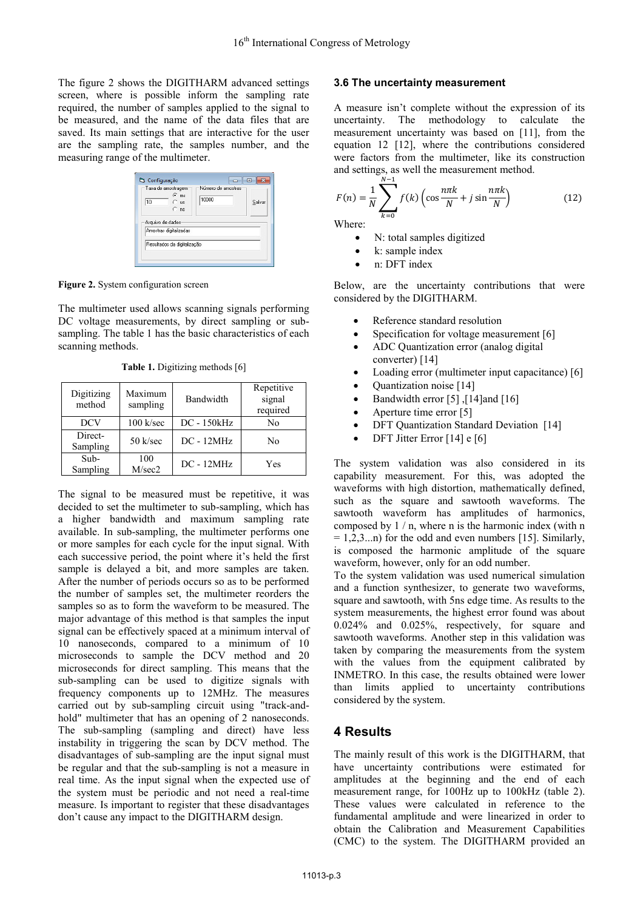The figure 2 shows the DIGITHARM advanced settings screen, where is possible inform the sampling rate required, the number of samples applied to the signal to be measured, and the name of the data files that are saved. Its main settings that are interactive for the user are the sampling rate, the samples number, and the measuring range of the multimeter.

| - Taxa de amostragem<br>$\epsilon$ ms<br>10<br>Сus<br>$C$ ns | Número de amostras<br>10000 | Salvar |
|--------------------------------------------------------------|-----------------------------|--------|
| Arquivo de dados<br>Amostras digitalizadas                   |                             |        |
| Resultados da digitalização                                  |                             |        |

Figure 2. System configuration screen

Sampling |

The multimeter used allows scanning signals performing DC voltage measurements, by direct sampling or subsampling. The table 1 has the basic characteristics of each scanning methods.

| Digitizing<br>method | Maximum<br>sampling | Bandwidth    | Repetitive<br>signal<br>required |
|----------------------|---------------------|--------------|----------------------------------|
| <b>DCV</b>           | $100$ k/sec         | DC - 150kHz  | No                               |
| Direct-<br>Sampling  | $50$ k/sec          | $DC - 12MHz$ | No                               |
| $Sub-$<br>Sampling   | 100<br>M/sec2       | $DC - 12MHz$ | Yes                              |

**Table 1.** Digitizing methods [6]

The signal to be measured must be repetitive, it was decided to set the multimeter to sub-sampling, which has a higher bandwidth and maximum sampling rate available. In sub-sampling, the multimeter performs one or more samples for each cycle for the input signal. With each successive period, the point where it's held the first sample is delayed a bit, and more samples are taken. After the number of periods occurs so as to be performed the number of samples set, the multimeter reorders the samples so as to form the waveform to be measured. The major advantage of this method is that samples the input signal can be effectively spaced at a minimum interval of 10 nanoseconds, compared to a minimum of 10 microseconds to sample the DCV method and 20 microseconds for direct sampling. This means that the sub-sampling can be used to digitize signals with frequency components up to 12MHz. The measures carried out by sub-sampling circuit using "track-andhold" multimeter that has an opening of 2 nanoseconds. The sub-sampling (sampling and direct) have less instability in triggering the scan by DCV method. The disadvantages of sub-sampling are the input signal must be regular and that the sub-sampling is not a measure in real time. As the input signal when the expected use of the system must be periodic and not need a real-time measure. Is important to register that these disadvantages don't cause any impact to the DIGITHARM design.

#### **3.6 The uncertainty measurement**

A measure isn't complete without the expression of its uncertainty. The methodology to calculate the measurement uncertainty was based on [11], from the equation 12 [12], where the contributions considered were factors from the multimeter, like its construction and settings, as well the measurement method.

$$
F(n) = \frac{1}{N} \sum_{k=0}^{N-1} f(k) \left( \cos \frac{n\pi k}{N} + j \sin \frac{n\pi k}{N} \right)
$$
 (12)

Where:

- N: total samples digitized
- k: sample index
- n: DFT index

Below, are the uncertainty contributions that were considered by the DIGITHARM.

- Reference standard resolution
- Specification for voltage measurement [6]
- ADC Quantization error (analog digital converter) [14]
- Loading error (multimeter input capacitance) [6]
- Quantization noise [14]
- Bandwidth error  $[5]$ ,  $[14]$ and  $[16]$
- Aperture time error [5]
- DFT Quantization Standard Deviation [14]
- DFT Jitter Error [14] e [6]

The system validation was also considered in its capability measurement. For this, was adopted the waveforms with high distortion, mathematically defined, such as the square and sawtooth waveforms. The sawtooth waveform has amplitudes of harmonics, composed by 1 / n, where n is the harmonic index (with n  $= 1,2,3...n$  for the odd and even numbers [15]. Similarly, is composed the harmonic amplitude of the square waveform, however, only for an odd number. To the system validation was used numerical simulation

and a function synthesizer, to generate two waveforms, square and sawtooth, with 5ns edge time. As results to the system measurements, the highest error found was about 0.024% and 0.025%, respectively, for square and sawtooth waveforms. Another step in this validation was taken by comparing the measurements from the system with the values from the equipment calibrated by INMETRO. In this case, the results obtained were lower than limits applied to uncertainty contributions considered by the system.

### **4 Results**

The mainly result of this work is the DIGITHARM, that have uncertainty contributions were estimated for amplitudes at the beginning and the end of each measurement range, for 100Hz up to 100kHz (table 2). These values were calculated in reference to the fundamental amplitude and were linearized in order to obtain the Calibration and Measurement Capabilities (CMC) to the system. The DIGITHARM provided an